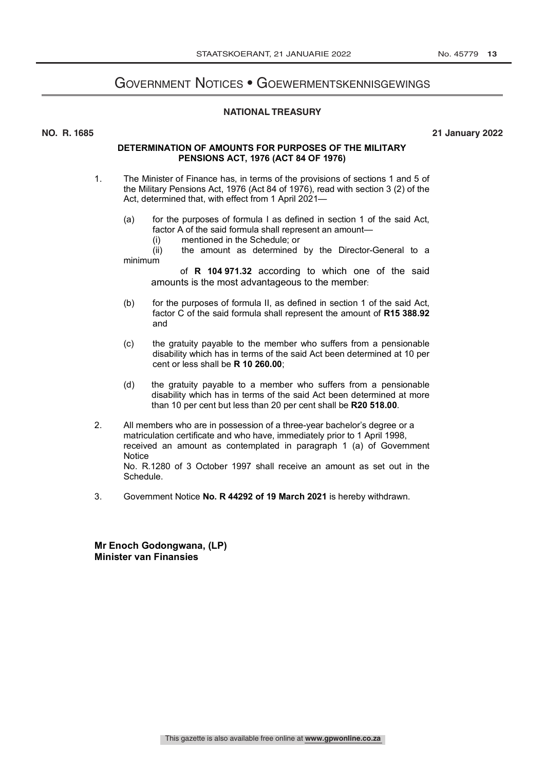# Government Notices • Goewermentskennisgewings

# **NATIONAL TREASURY**

**NO. R. 1685 21 January 2022**

# **DETERMINATION OF AMOUNTS FOR PURPOSES OF THE MILITARY PENSIONS ACT, 1976 (ACT 84 OF 1976)**

- 1. The Minister of Finance has, in terms of the provisions of sections 1 and 5 of the Military Pensions Act, 1976 (Act 84 of 1976), read with section 3 (2) of the Act, determined that, with effect from 1 April 2021—
	- (a) for the purposes of formula I as defined in section 1 of the said Act, factor A of the said formula shall represent an amount—
		- (i) mentioned in the Schedule; or<br>(ii) the amount as determined

the amount as determined by the Director-General to a minimum

of **R 104 971.32** according to which one of the said amounts is the most advantageous to the member:

- (b) for the purposes of formula II, as defined in section 1 of the said Act, factor C of the said formula shall represent the amount of **R15 388.92** and
- (c) the gratuity payable to the member who suffers from a pensionable disability which has in terms of the said Act been determined at 10 per cent or less shall be **R 10 260.00**;
- (d) the gratuity payable to a member who suffers from a pensionable disability which has in terms of the said Act been determined at more than 10 per cent but less than 20 per cent shall be **R20 518.00**.
- 2. All members who are in possession of a three-year bachelor's degree or a matriculation certificate and who have, immediately prior to 1 April 1998, received an amount as contemplated in paragraph 1 (a) of Government **Notice** No. R.1280 of 3 October 1997 shall receive an amount as set out in the Schedule.
- 3. Government Notice **No. R 44292 of 19 March 2021** is hereby withdrawn.

**Mr Enoch Godongwana, (LP) Minister van Finansies**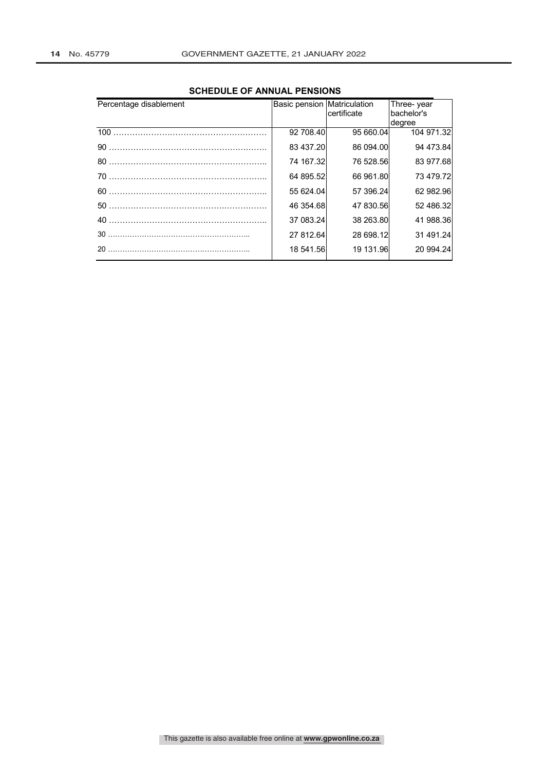| Percentage disablement | Basic pension Matriculation | certificate | Three-year<br>bachelor's |
|------------------------|-----------------------------|-------------|--------------------------|
|                        | 92 708.40                   | 95 660.04   | degree<br>104 971.32     |
|                        | 83 437.20                   | 86 094.00   | 94 473.84                |
| 80                     | 74 167.32                   | 76 528.56   | 83 977.68                |
| 70                     | 64 895.52                   | 66 961.80   | 73 479.72                |
|                        | 55 624.04                   | 57 396.24   | 62 982.96                |
| 50                     | 46 354.68                   | 47 830.56   | 52 486.32                |
| 40                     | 37 083.24                   | 38 263.80   | 41 988.36                |
| 30                     | 27 812.64                   | 28 698.12   | 31 491.24                |
| 20                     | 18 541.56                   | 19 131.96   | 20 994.24                |

# **SCHEDULE OF ANNUAL PENSIONS**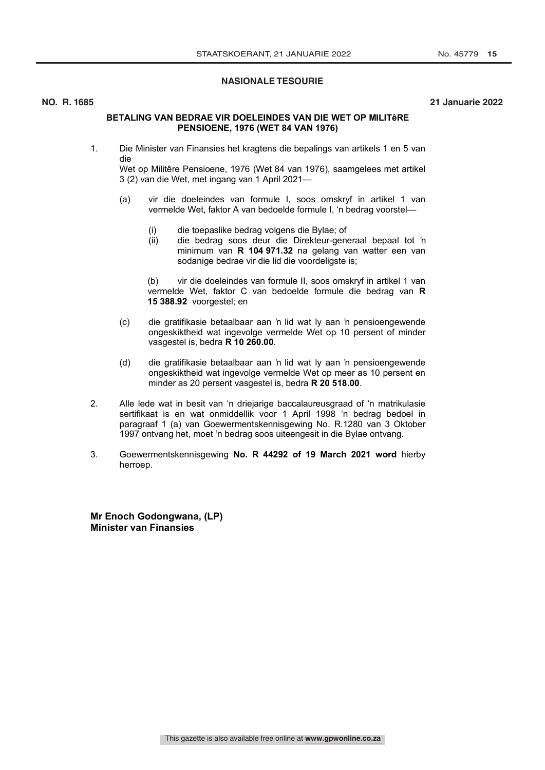# **NASIONALE TESOURIE**

### **NO. R. 1685 21 Januarie 2022**

# **BETALING VAN BEDRAE VIR DOELEINDES VAN DIE WET OP MILITêRE PENSIOENE, 1976 (WET 84 VAN 1976)**

1. Die Minister van Finansies het kragtens die bepalings van artikels 1 en 5 van die

Wet op Militêre Pensioene, 1976 (Wet 84 van 1976), saamgelees met artikel 3 (2) van die Wet, met ingang van 1 April 2021—

- (a) vir die doeleindes van formule I, soos omskryf in artikel 1 van vermelde Wet, faktor A van bedoelde formule I, 'n bedrag voorstel—
	- (i) die toepaslike bedrag volgens die Bylae; of
	- (ii) die bedrag soos deur die Direkteur-generaal bepaal tot 'n minimum van **R 104 971.32** na gelang van watter een van sodanige bedrae vir die lid die voordeligste is;

(b) vir die doeleindes van formule II, soos omskryf in artikel 1 van vermelde Wet, faktor C van bedoelde formule die bedrag van **R 15 388.92** voorgestel; en

- (c) die gratifikasie betaalbaar aan 'n lid wat ly aan 'n pensioengewende ongeskiktheid wat ingevolge vermelde Wet op 10 persent of minder vasgestel is, bedra **R 10 260.00**.
- (d) die gratifikasie betaalbaar aan 'n lid wat ly aan 'n pensioengewende ongeskiktheid wat ingevolge vermelde Wet op meer as 10 persent en minder as 20 persent vasgestel is, bedra **R 20 518.00**.
- 2. Alle lede wat in besit van 'n driejarige baccalaureusgraad of 'n matrikulasie sertifikaat is en wat onmiddellik voor 1 April 1998 'n bedrag bedoel in paragraaf 1 (a) van Goewermentskennisgewing No. R.1280 van 3 Oktober 1997 ontvang het, moet 'n bedrag soos uiteengesit in die Bylae ontvang.
- 3. Goewermentskennisgewing **No. R 44292 of 19 March 2021 word** hierby herroep.

**Mr Enoch Godongwana, (LP) Minister van Finansies**